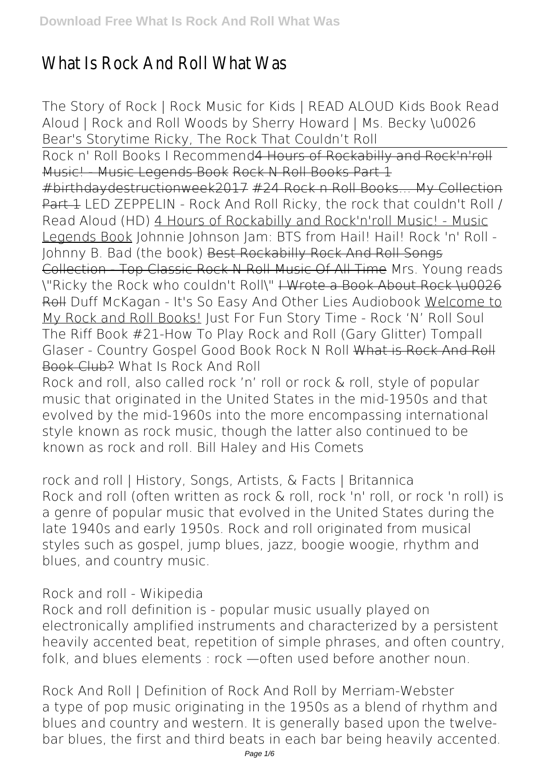## What Is Rock And Roll What Was

*The Story of Rock | Rock Music for Kids | READ ALOUD* **Kids Book Read Aloud | Rock and Roll Woods by Sherry Howard | Ms. Becky \u0026 Bear's Storytime** *Ricky, The Rock That Couldn't Roll* Rock n' Roll Books I Recommend4 Hours of Rockabilly and Rock'n'roll Music! Music Legends Book Rock N Roll Books Part 1 #birthdaydestructionweek2017 #24 Rock n Roll Books... My Collection Part 1 LED ZEPPELIN - Rock And Roll Ricky, the rock that couldn't Roll / Read Aloud (HD) 4 Hours of Rockabilly and Rock'n'roll Music! - Music Legends Book *Johnnie Johnson Jam: BTS from Hail! Hail! Rock 'n' Roll - Johnny B. Bad (the book)* Best Rockabilly Rock And Roll Songs Collection - Top Classic Rock N Roll Music Of All Time Mrs. Young reads \"Ricky the Rock who couldn't Roll\" I Wrote a Book About Rock \u0026 Roll *Duff McKagan - It's So Easy And Other Lies Audiobook* Welcome to My Rock and Roll Books! **Just For Fun Story Time - Rock 'N' Roll Soul The Riff Book #21-How To Play Rock and Roll (Gary Glitter) Tompall Glaser - Country Gospel Good Book Rock N Roll** What is Rock And Roll Book Club? *What Is Rock And Roll*

Rock and roll, also called rock 'n' roll or rock & roll, style of popular music that originated in the United States in the mid-1950s and that evolved by the mid-1960s into the more encompassing international style known as rock music, though the latter also continued to be known as rock and roll. Bill Haley and His Comets

*rock and roll | History, Songs, Artists, & Facts | Britannica* Rock and roll (often written as rock & roll, rock 'n' roll, or rock 'n roll) is a genre of popular music that evolved in the United States during the late 1940s and early 1950s. Rock and roll originated from musical styles such as gospel, jump blues, jazz, boogie woogie, rhythm and blues, and country music.

*Rock and roll - Wikipedia*

Rock and roll definition is - popular music usually played on electronically amplified instruments and characterized by a persistent heavily accented beat, repetition of simple phrases, and often country, folk, and blues elements : rock —often used before another noun.

*Rock And Roll | Definition of Rock And Roll by Merriam-Webster* a type of pop music originating in the 1950s as a blend of rhythm and blues and country and western. It is generally based upon the twelvebar blues, the first and third beats in each bar being heavily accented.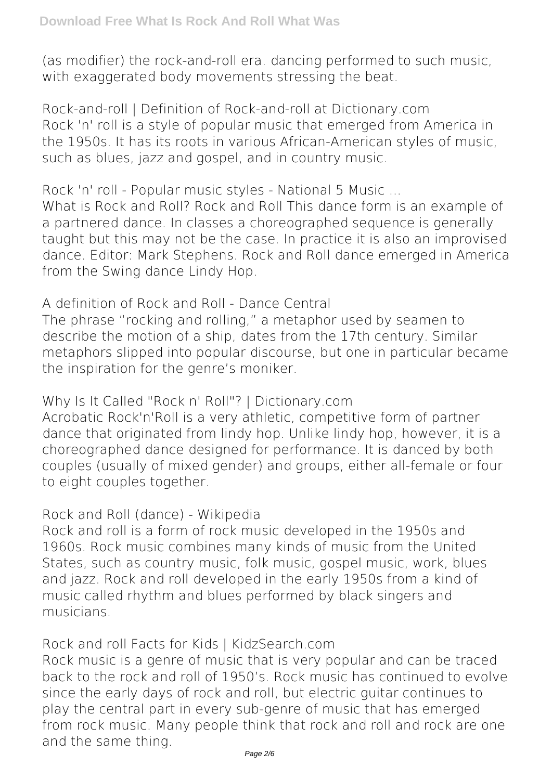(as modifier) the rock-and-roll era. dancing performed to such music, with exaggerated body movements stressing the beat.

*Rock-and-roll | Definition of Rock-and-roll at Dictionary.com* Rock 'n' roll is a style of popular music that emerged from America in the 1950s. It has its roots in various African-American styles of music, such as blues, jazz and gospel, and in country music.

*Rock 'n' roll - Popular music styles - National 5 Music ...* What is Rock and Roll? Rock and Roll This dance form is an example of a partnered dance. In classes a choreographed sequence is generally taught but this may not be the case. In practice it is also an improvised dance. Editor: Mark Stephens. Rock and Roll dance emerged in America from the Swing dance Lindy Hop.

*A definition of Rock and Roll - Dance Central*

The phrase "rocking and rolling," a metaphor used by seamen to describe the motion of a ship, dates from the 17th century. Similar metaphors slipped into popular discourse, but one in particular became the inspiration for the genre's moniker.

*Why Is It Called "Rock n' Roll"? | Dictionary.com* Acrobatic Rock'n'Roll is a very athletic, competitive form of partner dance that originated from lindy hop. Unlike lindy hop, however, it is a choreographed dance designed for performance. It is danced by both couples (usually of mixed gender) and groups, either all-female or four to eight couples together.

*Rock and Roll (dance) - Wikipedia*

Rock and roll is a form of rock music developed in the 1950s and 1960s. Rock music combines many kinds of music from the United States, such as country music, folk music, gospel music, work, blues and jazz. Rock and roll developed in the early 1950s from a kind of music called rhythm and blues performed by black singers and musicians.

*Rock and roll Facts for Kids | KidzSearch.com*

Rock music is a genre of music that is very popular and can be traced back to the rock and roll of 1950's. Rock music has continued to evolve since the early days of rock and roll, but electric guitar continues to play the central part in every sub-genre of music that has emerged from rock music. Many people think that rock and roll and rock are one and the same thing.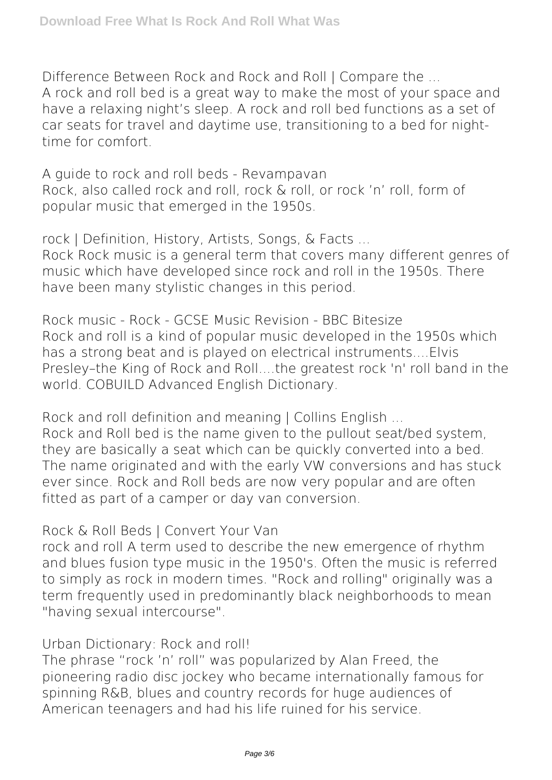*Difference Between Rock and Rock and Roll | Compare the ...* A rock and roll bed is a great way to make the most of your space and have a relaxing night's sleep. A rock and roll bed functions as a set of car seats for travel and daytime use, transitioning to a bed for nighttime for comfort.

*A guide to rock and roll beds - Revampavan* Rock, also called rock and roll, rock & roll, or rock 'n' roll, form of popular music that emerged in the 1950s.

*rock | Definition, History, Artists, Songs, & Facts ...* Rock Rock music is a general term that covers many different genres of music which have developed since rock and roll in the 1950s. There have been many stylistic changes in this period.

*Rock music - Rock - GCSE Music Revision - BBC Bitesize* Rock and roll is a kind of popular music developed in the 1950s which has a strong beat and is played on electrical instruments....Elvis Presley–the King of Rock and Roll....the greatest rock 'n' roll band in the world. COBUILD Advanced English Dictionary.

*Rock and roll definition and meaning | Collins English ...* Rock and Roll bed is the name given to the pullout seat/bed system, they are basically a seat which can be quickly converted into a bed. The name originated and with the early VW conversions and has stuck ever since. Rock and Roll beds are now very popular and are often fitted as part of a camper or day van conversion.

*Rock & Roll Beds | Convert Your Van*

rock and roll A term used to describe the new emergence of rhythm and blues fusion type music in the 1950's. Often the music is referred to simply as rock in modern times. "Rock and rolling" originally was a term frequently used in predominantly black neighborhoods to mean "having sexual intercourse".

*Urban Dictionary: Rock and roll!*

The phrase "rock 'n' roll" was popularized by Alan Freed, the pioneering radio disc jockey who became internationally famous for spinning R&B, blues and country records for huge audiences of American teenagers and had his life ruined for his service.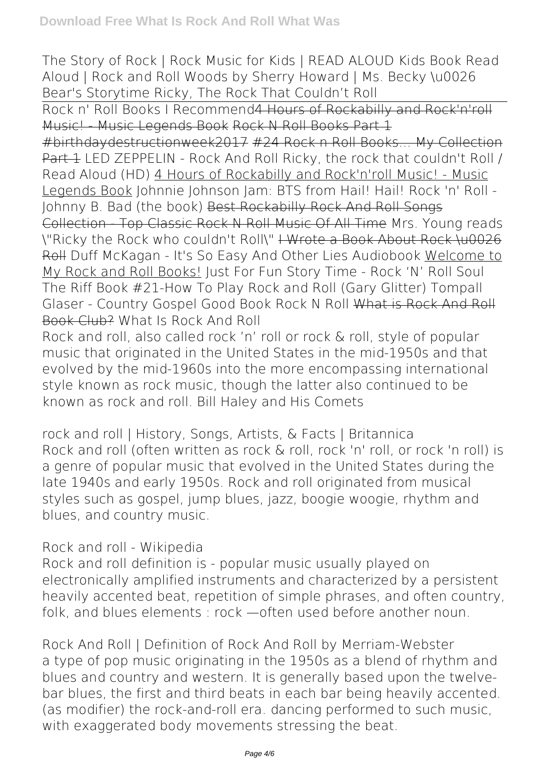*The Story of Rock | Rock Music for Kids | READ ALOUD* **Kids Book Read Aloud | Rock and Roll Woods by Sherry Howard | Ms. Becky \u0026 Bear's Storytime** *Ricky, The Rock That Couldn't Roll*

Rock n' Roll Books I Recommend4 Hours of Rockabilly and Rock'n'roll Music! Music Legends Book Rock N Roll Books Part 1

#birthdaydestructionweek2017 #24 Rock n Roll Books... My Collection Part 1 LED ZEPPELIN - Rock And Roll Ricky, the rock that couldn't Roll / Read Aloud (HD) 4 Hours of Rockabilly and Rock'n'roll Music! - Music Legends Book *Johnnie Johnson Jam: BTS from Hail! Hail! Rock 'n' Roll - Johnny B. Bad (the book)* Best Rockabilly Rock And Roll Songs Collection - Top Classic Rock N Roll Music Of All Time Mrs. Young reads \"Ricky the Rock who couldn't Roll\" I Wrote a Book About Rock \u0026 Roll *Duff McKagan - It's So Easy And Other Lies Audiobook* Welcome to My Rock and Roll Books! **Just For Fun Story Time - Rock 'N' Roll Soul The Riff Book #21-How To Play Rock and Roll (Gary Glitter) Tompall Glaser - Country Gospel Good Book Rock N Roll** What is Rock And Roll Book Club? *What Is Rock And Roll*

Rock and roll, also called rock 'n' roll or rock & roll, style of popular music that originated in the United States in the mid-1950s and that evolved by the mid-1960s into the more encompassing international style known as rock music, though the latter also continued to be known as rock and roll. Bill Haley and His Comets

*rock and roll | History, Songs, Artists, & Facts | Britannica* Rock and roll (often written as rock & roll, rock 'n' roll, or rock 'n roll) is a genre of popular music that evolved in the United States during the late 1940s and early 1950s. Rock and roll originated from musical styles such as gospel, jump blues, jazz, boogie woogie, rhythm and blues, and country music.

## *Rock and roll - Wikipedia*

Rock and roll definition is - popular music usually played on electronically amplified instruments and characterized by a persistent heavily accented beat, repetition of simple phrases, and often country, folk, and blues elements : rock —often used before another noun.

*Rock And Roll | Definition of Rock And Roll by Merriam-Webster* a type of pop music originating in the 1950s as a blend of rhythm and blues and country and western. It is generally based upon the twelvebar blues, the first and third beats in each bar being heavily accented. (as modifier) the rock-and-roll era. dancing performed to such music, with exaggerated body movements stressing the beat.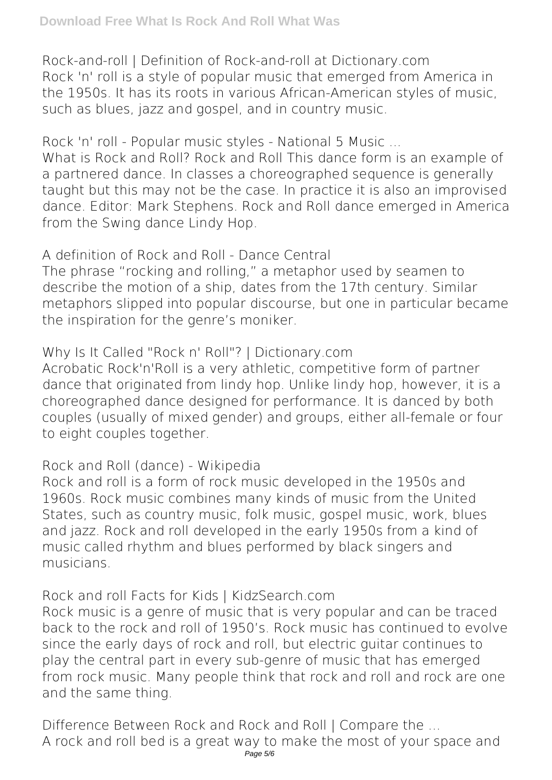*Rock-and-roll | Definition of Rock-and-roll at Dictionary.com* Rock 'n' roll is a style of popular music that emerged from America in the 1950s. It has its roots in various African-American styles of music, such as blues, jazz and gospel, and in country music.

*Rock 'n' roll - Popular music styles - National 5 Music ...* What is Rock and Roll? Rock and Roll This dance form is an example of a partnered dance. In classes a choreographed sequence is generally taught but this may not be the case. In practice it is also an improvised dance. Editor: Mark Stephens. Rock and Roll dance emerged in America from the Swing dance Lindy Hop.

*A definition of Rock and Roll - Dance Central* The phrase "rocking and rolling," a metaphor used by seamen to describe the motion of a ship, dates from the 17th century. Similar metaphors slipped into popular discourse, but one in particular became the inspiration for the genre's moniker.

*Why Is It Called "Rock n' Roll"? | Dictionary.com* Acrobatic Rock'n'Roll is a very athletic, competitive form of partner dance that originated from lindy hop. Unlike lindy hop, however, it is a choreographed dance designed for performance. It is danced by both couples (usually of mixed gender) and groups, either all-female or four to eight couples together.

*Rock and Roll (dance) - Wikipedia*

Rock and roll is a form of rock music developed in the 1950s and 1960s. Rock music combines many kinds of music from the United States, such as country music, folk music, gospel music, work, blues and jazz. Rock and roll developed in the early 1950s from a kind of music called rhythm and blues performed by black singers and musicians.

*Rock and roll Facts for Kids | KidzSearch.com*

Rock music is a genre of music that is very popular and can be traced back to the rock and roll of 1950's. Rock music has continued to evolve since the early days of rock and roll, but electric guitar continues to play the central part in every sub-genre of music that has emerged from rock music. Many people think that rock and roll and rock are one and the same thing.

*Difference Between Rock and Rock and Roll | Compare the ...* A rock and roll bed is a great way to make the most of your space and Page 5/6